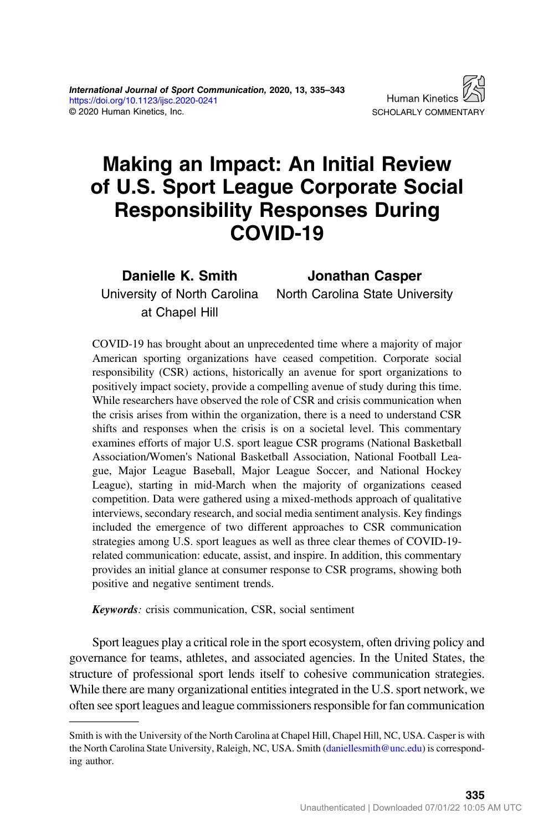# Making an Impact: An Initial Review of U.S. Sport League Corporate Social Responsibility Responses During COVID-19

Danielle K. Smith University of North Carolina at Chapel Hill

Jonathan Casper

North Carolina State University

COVID-19 has brought about an unprecedented time where a majority of major American sporting organizations have ceased competition. Corporate social responsibility (CSR) actions, historically an avenue for sport organizations to positively impact society, provide a compelling avenue of study during this time. While researchers have observed the role of CSR and crisis communication when the crisis arises from within the organization, there is a need to understand CSR shifts and responses when the crisis is on a societal level. This commentary examines efforts of major U.S. sport league CSR programs (National Basketball Association/Women's National Basketball Association, National Football League, Major League Baseball, Major League Soccer, and National Hockey League), starting in mid-March when the majority of organizations ceased competition. Data were gathered using a mixed-methods approach of qualitative interviews, secondary research, and social media sentiment analysis. Key findings included the emergence of two different approaches to CSR communication strategies among U.S. sport leagues as well as three clear themes of COVID-19 related communication: educate, assist, and inspire. In addition, this commentary provides an initial glance at consumer response to CSR programs, showing both positive and negative sentiment trends.

Keywords: crisis communication, CSR, social sentiment

Sport leagues play a critical role in the sport ecosystem, often driving policy and governance for teams, athletes, and associated agencies. In the United States, the structure of professional sport lends itself to cohesive communication strategies. While there are many organizational entities integrated in the U.S. sport network, we often see sport leagues and league commissioners responsible for fan communication

Smith is with the University of the North Carolina at Chapel Hill, Chapel Hill, NC, USA. Casper is with the North Carolina State University, Raleigh, NC, USA. Smith [\(daniellesmith@unc.edu](mailto:daniellesmith@unc.edu)) is corresponding author.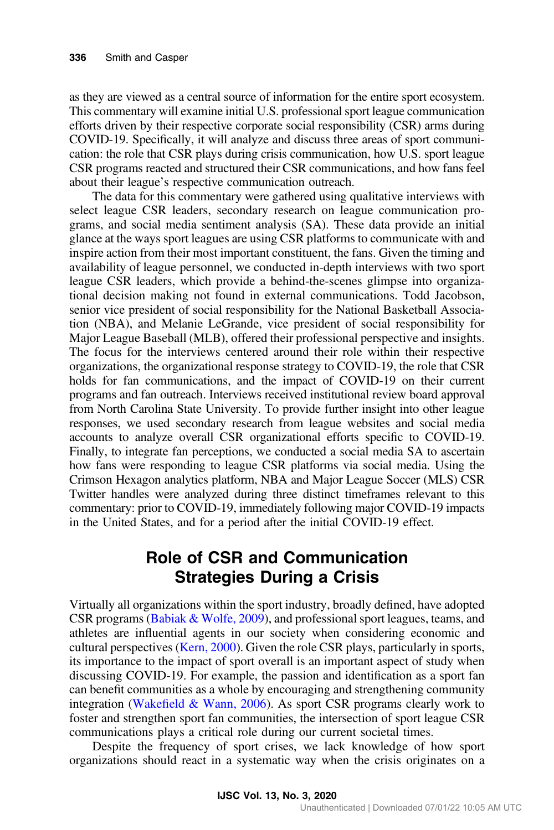as they are viewed as a central source of information for the entire sport ecosystem. This commentary will examine initial U.S. professional sport league communication efforts driven by their respective corporate social responsibility (CSR) arms during COVID-19. Specifically, it will analyze and discuss three areas of sport communication: the role that CSR plays during crisis communication, how U.S. sport league CSR programs reacted and structured their CSR communications, and how fans feel about their league's respective communication outreach.

The data for this commentary were gathered using qualitative interviews with select league CSR leaders, secondary research on league communication programs, and social media sentiment analysis (SA). These data provide an initial glance at the ways sport leagues are using CSR platforms to communicate with and inspire action from their most important constituent, the fans. Given the timing and availability of league personnel, we conducted in-depth interviews with two sport league CSR leaders, which provide a behind-the-scenes glimpse into organizational decision making not found in external communications. Todd Jacobson, senior vice president of social responsibility for the National Basketball Association (NBA), and Melanie LeGrande, vice president of social responsibility for Major League Baseball (MLB), offered their professional perspective and insights. The focus for the interviews centered around their role within their respective organizations, the organizational response strategy to COVID-19, the role that CSR holds for fan communications, and the impact of COVID-19 on their current programs and fan outreach. Interviews received institutional review board approval from North Carolina State University. To provide further insight into other league responses, we used secondary research from league websites and social media accounts to analyze overall CSR organizational efforts specific to COVID-19. Finally, to integrate fan perceptions, we conducted a social media SA to ascertain how fans were responding to league CSR platforms via social media. Using the Crimson Hexagon analytics platform, NBA and Major League Soccer (MLS) CSR Twitter handles were analyzed during three distinct timeframes relevant to this commentary: prior to COVID-19, immediately following major COVID-19 impacts in the United States, and for a period after the initial COVID-19 effect.

# Role of CSR and Communication Strategies During a Crisis

Virtually all organizations within the sport industry, broadly defined, have adopted CSR programs [\(Babiak & Wolfe, 2009](#page-8-0)), and professional sport leagues, teams, and athletes are influential agents in our society when considering economic and cultural perspectives ([Kern, 2000](#page-8-0)). Given the role CSR plays, particularly in sports, its importance to the impact of sport overall is an important aspect of study when discussing COVID-19. For example, the passion and identification as a sport fan can benefit communities as a whole by encouraging and strengthening community integration (Wakefi[eld & Wann, 2006\)](#page-8-0). As sport CSR programs clearly work to foster and strengthen sport fan communities, the intersection of sport league CSR communications plays a critical role during our current societal times.

Despite the frequency of sport crises, we lack knowledge of how sport organizations should react in a systematic way when the crisis originates on a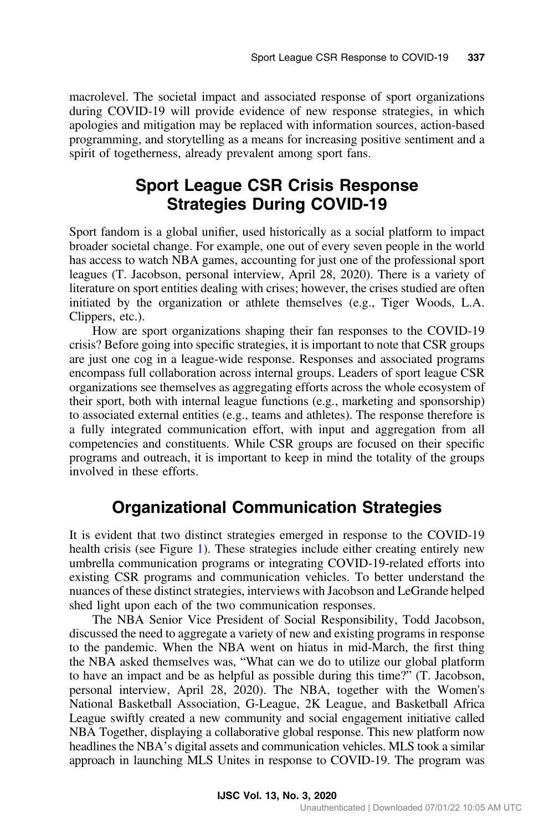macrolevel. The societal impact and associated response of sport organizations during COVID-19 will provide evidence of new response strategies, in which apologies and mitigation may be replaced with information sources, action-based programming, and storytelling as a means for increasing positive sentiment and a spirit of togetherness, already prevalent among sport fans.

# Sport League CSR Crisis Response Strategies During COVID-19

Sport fandom is a global unifier, used historically as a social platform to impact broader societal change. For example, one out of every seven people in the world has access to watch NBA games, accounting for just one of the professional sport leagues (T. Jacobson, personal interview, April 28, 2020). There is a variety of literature on sport entities dealing with crises; however, the crises studied are often initiated by the organization or athlete themselves (e.g., Tiger Woods, L.A. Clippers, etc.).

How are sport organizations shaping their fan responses to the COVID-19 crisis? Before going into specific strategies, it is important to note that CSR groups are just one cog in a league-wide response. Responses and associated programs encompass full collaboration across internal groups. Leaders of sport league CSR organizations see themselves as aggregating efforts across the whole ecosystem of their sport, both with internal league functions (e.g., marketing and sponsorship) to associated external entities (e.g., teams and athletes). The response therefore is a fully integrated communication effort, with input and aggregation from all competencies and constituents. While CSR groups are focused on their specific programs and outreach, it is important to keep in mind the totality of the groups involved in these efforts.

### Organizational Communication Strategies

It is evident that two distinct strategies emerged in response to the COVID-19 health crisis (see Figure [1\)](#page-3-0). These strategies include either creating entirely new umbrella communication programs or integrating COVID-19-related efforts into existing CSR programs and communication vehicles. To better understand the nuances of these distinct strategies, interviews with Jacobson and LeGrande helped shed light upon each of the two communication responses.

The NBA Senior Vice President of Social Responsibility, Todd Jacobson, discussed the need to aggregate a variety of new and existing programs in response to the pandemic. When the NBA went on hiatus in mid-March, the first thing the NBA asked themselves was, "What can we do to utilize our global platform to have an impact and be as helpful as possible during this time?" (T. Jacobson, personal interview, April 28, 2020). The NBA, together with the Women's National Basketball Association, G-League, 2K League, and Basketball Africa League swiftly created a new community and social engagement initiative called NBA Together, displaying a collaborative global response. This new platform now headlines the NBA's digital assets and communication vehicles. MLS took a similar approach in launching MLS Unites in response to COVID-19. The program was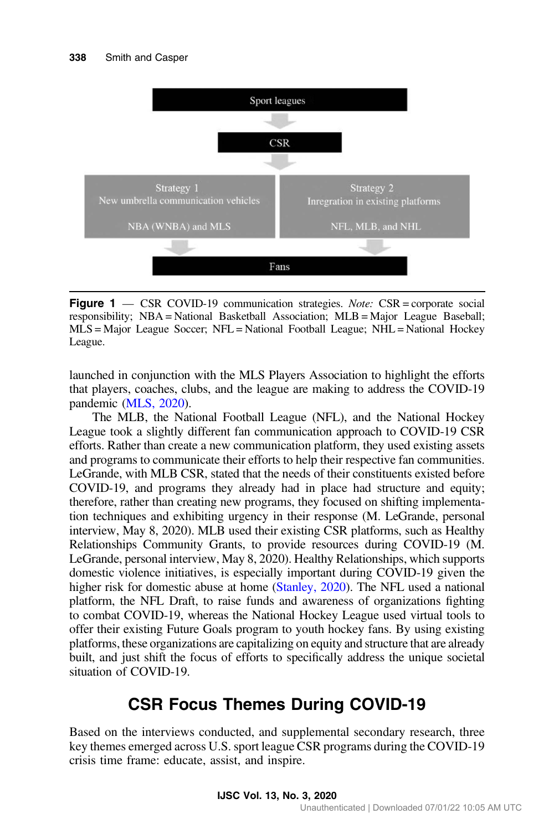<span id="page-3-0"></span>

Figure 1 — CSR COVID-19 communication strategies. Note: CSR = corporate social responsibility; NBA = National Basketball Association; MLB = Major League Baseball; MLS = Major League Soccer; NFL = National Football League; NHL = National Hockey League.

launched in conjunction with the MLS Players Association to highlight the efforts that players, coaches, clubs, and the league are making to address the COVID-19 pandemic [\(MLS, 2020\)](#page-8-0).

The MLB, the National Football League (NFL), and the National Hockey League took a slightly different fan communication approach to COVID-19 CSR efforts. Rather than create a new communication platform, they used existing assets and programs to communicate their efforts to help their respective fan communities. LeGrande, with MLB CSR, stated that the needs of their constituents existed before COVID-19, and programs they already had in place had structure and equity; therefore, rather than creating new programs, they focused on shifting implementation techniques and exhibiting urgency in their response (M. LeGrande, personal interview, May 8, 2020). MLB used their existing CSR platforms, such as Healthy Relationships Community Grants, to provide resources during COVID-19 (M. LeGrande, personal interview, May 8, 2020). Healthy Relationships, which supports domestic violence initiatives, is especially important during COVID-19 given the higher risk for domestic abuse at home [\(Stanley, 2020\)](#page-8-0). The NFL used a national platform, the NFL Draft, to raise funds and awareness of organizations fighting to combat COVID-19, whereas the National Hockey League used virtual tools to offer their existing Future Goals program to youth hockey fans. By using existing platforms, these organizations are capitalizing on equity and structure that are already built, and just shift the focus of efforts to specifically address the unique societal situation of COVID-19.

# CSR Focus Themes During COVID-19

Based on the interviews conducted, and supplemental secondary research, three key themes emerged across U.S. sport league CSR programs during the COVID-19 crisis time frame: educate, assist, and inspire.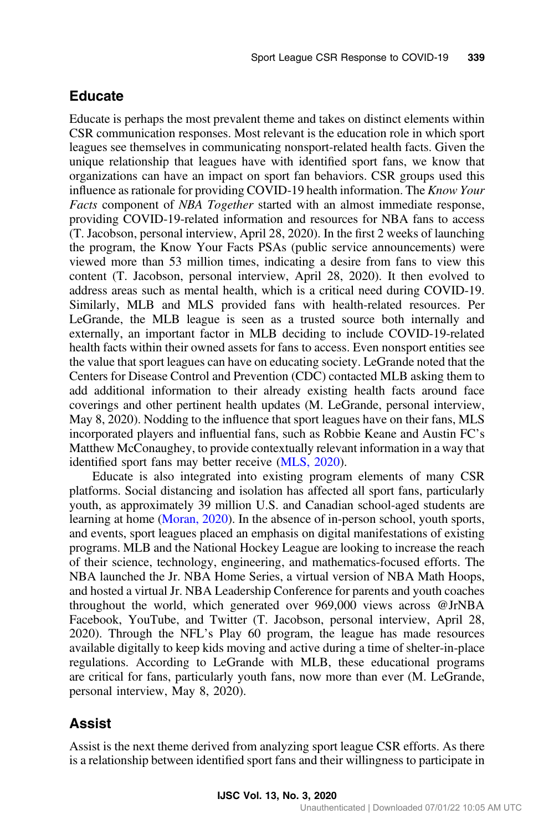#### Educate

Educate is perhaps the most prevalent theme and takes on distinct elements within CSR communication responses. Most relevant is the education role in which sport leagues see themselves in communicating nonsport-related health facts. Given the unique relationship that leagues have with identified sport fans, we know that organizations can have an impact on sport fan behaviors. CSR groups used this influence as rationale for providing COVID-19 health information. The Know Your Facts component of NBA Together started with an almost immediate response, providing COVID-19-related information and resources for NBA fans to access (T. Jacobson, personal interview, April 28, 2020). In the first 2 weeks of launching the program, the Know Your Facts PSAs (public service announcements) were viewed more than 53 million times, indicating a desire from fans to view this content (T. Jacobson, personal interview, April 28, 2020). It then evolved to address areas such as mental health, which is a critical need during COVID-19. Similarly, MLB and MLS provided fans with health-related resources. Per LeGrande, the MLB league is seen as a trusted source both internally and externally, an important factor in MLB deciding to include COVID-19-related health facts within their owned assets for fans to access. Even nonsport entities see the value that sport leagues can have on educating society. LeGrande noted that the Centers for Disease Control and Prevention (CDC) contacted MLB asking them to add additional information to their already existing health facts around face coverings and other pertinent health updates (M. LeGrande, personal interview, May 8, 2020). Nodding to the influence that sport leagues have on their fans, MLS incorporated players and influential fans, such as Robbie Keane and Austin FC's Matthew McConaughey, to provide contextually relevant information in a way that identified sport fans may better receive ([MLS, 2020\)](#page-8-0).

Educate is also integrated into existing program elements of many CSR platforms. Social distancing and isolation has affected all sport fans, particularly youth, as approximately 39 million U.S. and Canadian school-aged students are learning at home [\(Moran, 2020\)](#page-8-0). In the absence of in-person school, youth sports, and events, sport leagues placed an emphasis on digital manifestations of existing programs. MLB and the National Hockey League are looking to increase the reach of their science, technology, engineering, and mathematics-focused efforts. The NBA launched the Jr. NBA Home Series, a virtual version of NBA Math Hoops, and hosted a virtual Jr. NBA Leadership Conference for parents and youth coaches throughout the world, which generated over 969,000 views across @JrNBA Facebook, YouTube, and Twitter (T. Jacobson, personal interview, April 28, 2020). Through the NFL's Play 60 program, the league has made resources available digitally to keep kids moving and active during a time of shelter-in-place regulations. According to LeGrande with MLB, these educational programs are critical for fans, particularly youth fans, now more than ever (M. LeGrande, personal interview, May 8, 2020).

#### Assist

Assist is the next theme derived from analyzing sport league CSR efforts. As there is a relationship between identified sport fans and their willingness to participate in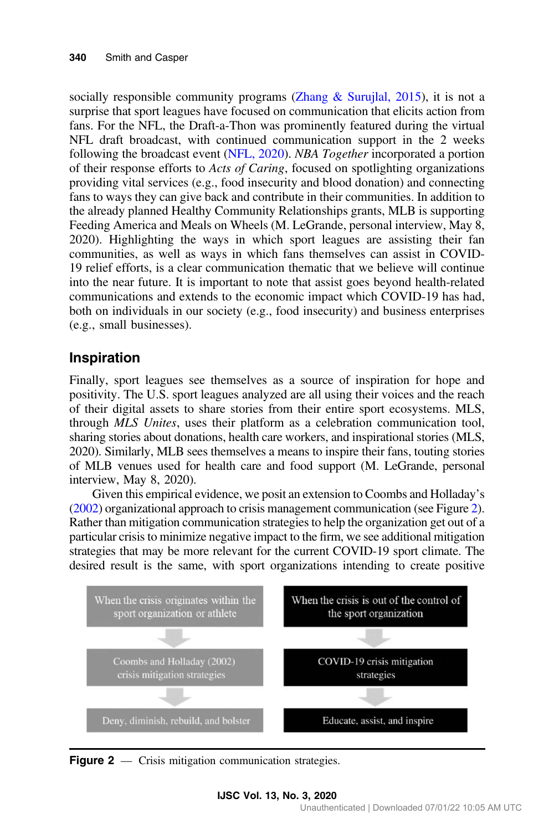socially responsible community programs (Zhang  $\&$  Surujlal, 2015), it is not a surprise that sport leagues have focused on communication that elicits action from fans. For the NFL, the Draft-a-Thon was prominently featured during the virtual NFL draft broadcast, with continued communication support in the 2 weeks following the broadcast event ([NFL, 2020\)](#page-8-0). NBA Together incorporated a portion of their response efforts to Acts of Caring, focused on spotlighting organizations providing vital services (e.g., food insecurity and blood donation) and connecting fans to ways they can give back and contribute in their communities. In addition to the already planned Healthy Community Relationships grants, MLB is supporting Feeding America and Meals on Wheels (M. LeGrande, personal interview, May 8, 2020). Highlighting the ways in which sport leagues are assisting their fan communities, as well as ways in which fans themselves can assist in COVID-19 relief efforts, is a clear communication thematic that we believe will continue into the near future. It is important to note that assist goes beyond health-related communications and extends to the economic impact which COVID-19 has had, both on individuals in our society (e.g., food insecurity) and business enterprises (e.g., small businesses).

#### Inspiration

Finally, sport leagues see themselves as a source of inspiration for hope and positivity. The U.S. sport leagues analyzed are all using their voices and the reach of their digital assets to share stories from their entire sport ecosystems. MLS, through MLS Unites, uses their platform as a celebration communication tool, sharing stories about donations, health care workers, and inspirational stories (MLS, 2020). Similarly, MLB sees themselves a means to inspire their fans, touting stories of MLB venues used for health care and food support (M. LeGrande, personal interview, May 8, 2020).

Given this empirical evidence, we posit an extension to Coombs and Holladay's [\(2002\)](#page-8-0) organizational approach to crisis management communication (see Figure 2). Rather than mitigation communication strategies to help the organization get out of a particular crisis to minimize negative impact to the firm, we see additional mitigation strategies that may be more relevant for the current COVID-19 sport climate. The desired result is the same, with sport organizations intending to create positive



Figure 2 — Crisis mitigation communication strategies.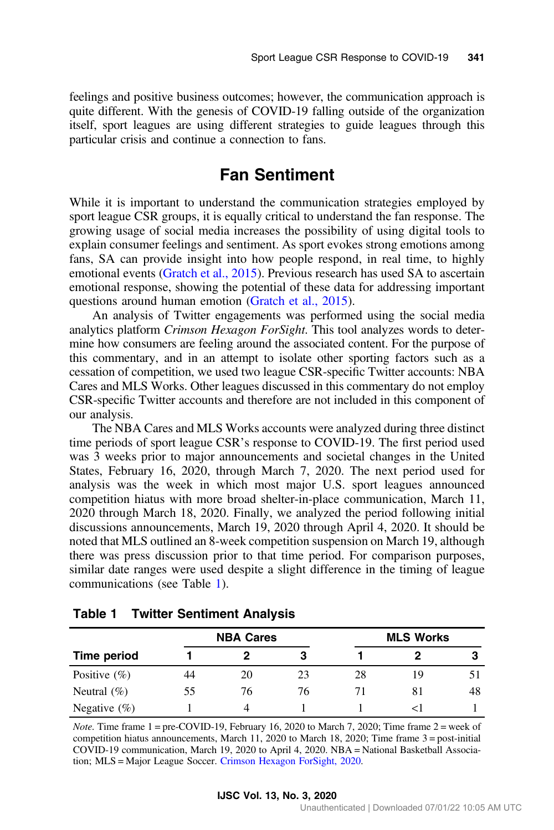<span id="page-6-0"></span>feelings and positive business outcomes; however, the communication approach is quite different. With the genesis of COVID-19 falling outside of the organization itself, sport leagues are using different strategies to guide leagues through this particular crisis and continue a connection to fans.

### Fan Sentiment

While it is important to understand the communication strategies employed by sport league CSR groups, it is equally critical to understand the fan response. The growing usage of social media increases the possibility of using digital tools to explain consumer feelings and sentiment. As sport evokes strong emotions among fans, SA can provide insight into how people respond, in real time, to highly emotional events [\(Gratch et al., 2015\)](#page-8-0). Previous research has used SA to ascertain emotional response, showing the potential of these data for addressing important questions around human emotion [\(Gratch et al., 2015](#page-8-0)).

An analysis of Twitter engagements was performed using the social media analytics platform Crimson Hexagon ForSight. This tool analyzes words to determine how consumers are feeling around the associated content. For the purpose of this commentary, and in an attempt to isolate other sporting factors such as a cessation of competition, we used two league CSR-specific Twitter accounts: NBA Cares and MLS Works. Other leagues discussed in this commentary do not employ CSR-specific Twitter accounts and therefore are not included in this component of our analysis.

The NBA Cares and MLS Works accounts were analyzed during three distinct time periods of sport league CSR's response to COVID-19. The first period used was 3 weeks prior to major announcements and societal changes in the United States, February 16, 2020, through March 7, 2020. The next period used for analysis was the week in which most major U.S. sport leagues announced competition hiatus with more broad shelter-in-place communication, March 11, 2020 through March 18, 2020. Finally, we analyzed the period following initial discussions announcements, March 19, 2020 through April 4, 2020. It should be noted that MLS outlined an 8-week competition suspension on March 19, although there was press discussion prior to that time period. For comparison purposes, similar date ranges were used despite a slight difference in the timing of league communications (see Table 1).

|                  | <b>NBA Cares</b> |    |    | <b>MLS Works</b> |     |    |
|------------------|------------------|----|----|------------------|-----|----|
| Time period      |                  |    |    |                  |     |    |
| Positive $(\%)$  | 44               | 20 | 23 | 28               | 1 Q |    |
| Neutral $(\%)$   | 55.              | 76 | 76 |                  | 81  | 48 |
| Negative $(\% )$ |                  |    |    |                  |     |    |

Table 1 Twitter Sentiment Analysis

*Note.* Time frame  $1 = \text{pre-COVID-19}$ , February 16, 2020 to March 7, 2020; Time frame  $2 = \text{week of}$ competition hiatus announcements, March 11, 2020 to March 18, 2020; Time frame 3 = post-initial COVID-19 communication, March 19, 2020 to April 4, 2020. NBA = National Basketball Association; MLS = Major League Soccer. [Crimson Hexagon ForSight, 2020](#page-8-0).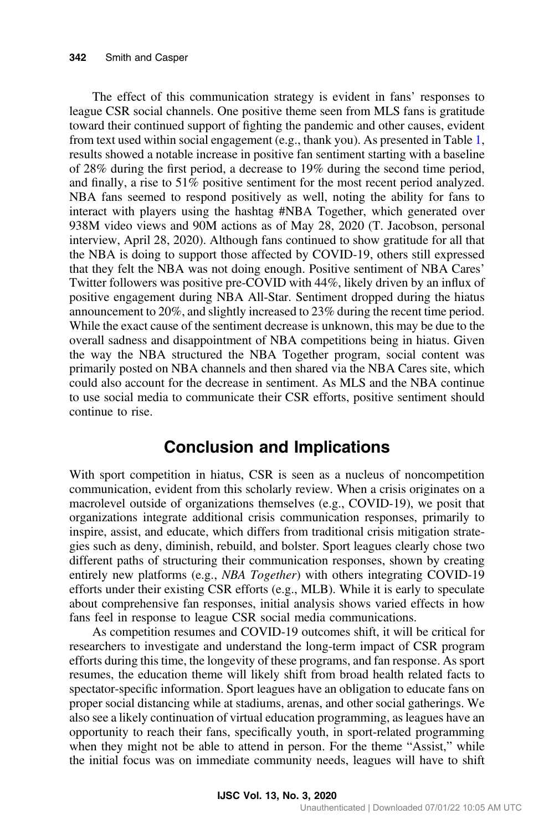The effect of this communication strategy is evident in fans' responses to league CSR social channels. One positive theme seen from MLS fans is gratitude toward their continued support of fighting the pandemic and other causes, evident from text used within social engagement (e.g., thank you). As presented in Table [1](#page-6-0), results showed a notable increase in positive fan sentiment starting with a baseline of 28% during the first period, a decrease to 19% during the second time period, and finally, a rise to 51% positive sentiment for the most recent period analyzed. NBA fans seemed to respond positively as well, noting the ability for fans to interact with players using the hashtag #NBA Together, which generated over 938M video views and 90M actions as of May 28, 2020 (T. Jacobson, personal interview, April 28, 2020). Although fans continued to show gratitude for all that the NBA is doing to support those affected by COVID-19, others still expressed that they felt the NBA was not doing enough. Positive sentiment of NBA Cares' Twitter followers was positive pre-COVID with 44%, likely driven by an influx of positive engagement during NBA All-Star. Sentiment dropped during the hiatus announcement to 20%, and slightly increased to 23% during the recent time period. While the exact cause of the sentiment decrease is unknown, this may be due to the overall sadness and disappointment of NBA competitions being in hiatus. Given the way the NBA structured the NBA Together program, social content was primarily posted on NBA channels and then shared via the NBA Cares site, which could also account for the decrease in sentiment. As MLS and the NBA continue to use social media to communicate their CSR efforts, positive sentiment should continue to rise.

### Conclusion and Implications

With sport competition in hiatus, CSR is seen as a nucleus of noncompetition communication, evident from this scholarly review. When a crisis originates on a macrolevel outside of organizations themselves (e.g., COVID-19), we posit that organizations integrate additional crisis communication responses, primarily to inspire, assist, and educate, which differs from traditional crisis mitigation strategies such as deny, diminish, rebuild, and bolster. Sport leagues clearly chose two different paths of structuring their communication responses, shown by creating entirely new platforms (e.g., *NBA Together*) with others integrating COVID-19 efforts under their existing CSR efforts (e.g., MLB). While it is early to speculate about comprehensive fan responses, initial analysis shows varied effects in how fans feel in response to league CSR social media communications.

As competition resumes and COVID-19 outcomes shift, it will be critical for researchers to investigate and understand the long-term impact of CSR program efforts during this time, the longevity of these programs, and fan response. As sport resumes, the education theme will likely shift from broad health related facts to spectator-specific information. Sport leagues have an obligation to educate fans on proper social distancing while at stadiums, arenas, and other social gatherings. We also see a likely continuation of virtual education programming, as leagues have an opportunity to reach their fans, specifically youth, in sport-related programming when they might not be able to attend in person. For the theme "Assist," while the initial focus was on immediate community needs, leagues will have to shift